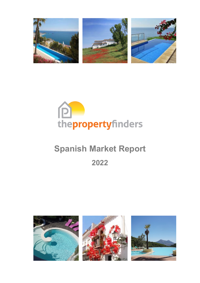



# **Spanish Market Report**

**2022**

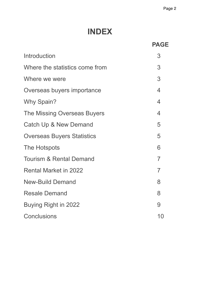# **INDEX**

|                                    | <b>PAGE</b>    |
|------------------------------------|----------------|
| Introduction                       | 3              |
| Where the statistics come from     | 3              |
| Where we were                      | 3              |
| Overseas buyers importance         | $\overline{4}$ |
| Why Spain?                         | $\overline{4}$ |
| The Missing Overseas Buyers        | $\overline{4}$ |
| Catch Up & New Demand              | 5              |
| <b>Overseas Buyers Statistics</b>  | 5              |
| The Hotspots                       | 6              |
| <b>Tourism &amp; Rental Demand</b> | 7              |
| <b>Rental Market in 2022</b>       | 7              |
| <b>New-Build Demand</b>            | 8              |
| <b>Resale Demand</b>               | 8              |
| Buying Right in 2022               | 9              |
| <b>Conclusions</b>                 | 10             |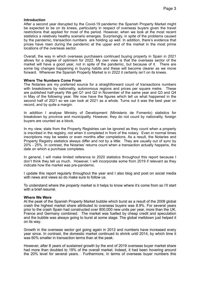# **Introduction**

After a second year disrupted by the Covid-19 pandemic the Spanish Property Market might be expected to be on its knees, particularly in respect of overseas buyers given the travel restrictions that applied for most of the period. However, when we look at the most recent statistics a relatively healthy scenario emerges. Surprisingly, in spite of the problems caused by the pandemic, transaction numbers are holding up well. In addition, there's evidence that prices have risen during the pandemic at the upper end of the market in the most prime locations of the overseas sector.

Overall, the way in which overseas purchasers continued buying property in Spain in 2021 allows for a degree of optimism for 2022. My own view is that the overseas sector of the market will have a good year, not in spite of the pandemic, but because of it. There are some big changes happening in buying habits and these will become clearer as we move forward. Wherever the Spanish Property Market is in 2022 it certainly isn't on its knees.

#### **Where The Numbers Come From**

The Notaries are my preferred source for a straightforward count of transactions numbers with breakdowns by nationality, autonomous regions and prices per square metre. These are published half-yearly We get Q1 and Q2 in November of the same year and Q3 and Q4 in May of the following year. We now have the figures which tell us what happened in the second half of 2021 so we can look at 2021 as a whole. Turns out it was the best year on record, and by quite a margin.

In addition I analyse Ministry of Development (Ministerio de Fomento) statistics for breakdown by province and municipality. However, they do not count by nationality, foreign buyers are counted as a block,

In my view, stats from the Property Registries can be ignored as they count when a property is inscribed in the registry, not when it completed in front of the notary. Even in normal times inscriptions may be weeks or even months after completions. As a result, the Notaries and Property Registry statistics always differ and not by a little. They are usually out of sync by 20% - 25%. In contrast, the Notaries' returns count when a transaction actually happens, the date on which a purchase completes.

In general, I will make limited reference to 2020 statistics throughout this report because I don't think they tell us much. However, I will incorporate some from 2019 if relevant as they indicate how the market was pre-pandemic.

I update this report regularly throughout the year and I also blog and post on social media with news and views so do make sure to follow us.

To understand where the property market is it helps to know where it's come from so I'll start with a brief resumé.

#### **Where We Were**

At the peak of the Spanish Property Market bubble which burst as a result of the 2008 global crash the highest market share attributed to overseas buyers was 8.9%. For several years prior to the crash Spain had constructed over 800,000 new units per year, more than the UK, France and Germany combined. The market was fuelled by cheap credit and speculation and the bubble was always going to burst at some stage. The global meltdown just helped it on its way.

Growth in the overseas sector got going again in 2012 and numbers have increased every year since. In contrast, the domestic market continued to shrink until 2014, by which time it was 60% smaller in transaction terms than at the peak.

However, after 8 years of sustained growth by the end of 2019 overseas buyer market share had more than doubled to 19% of the overall market. Indeed, it had been hovering around the 20% level for several years. Furthermore, in terms of overseas buyer numbers this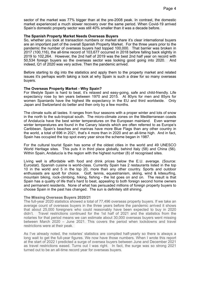sector of the market was 77% bigger than at the pre-2008 peak. In contrast, the domestic market experienced a much slower recovery over the same period. When Covid-19 arrived Spain's domestic property sector was still 40% smaller than it was a decade before.

#### **The Spanish Property Market Needs Overseas Buyers**

So, whether you look at transaction numbers or market share it's clear international buyers are an important part of the overall Spanish Property Market. For the three years prior to the pandemic the number of overseas buyers had topped 100,000. That barrier was broken in 2017 (100,116), the all-time record of 103,677 occurred in 2018 before falling back slightly in 2019 to 102,264. However, the 2nd half of 2019 was the best 2nd half year on record with 50,534 foreign buyers so the overseas sector was looking good going into 2020. And indeed, Q1 of 2020 was very active. Then the pandemic arrived.

Before starting to dig into the statistics and apply them to the property market and related issues it's perhaps worth taking a look at why Spain is such a draw for so many overseas buyers.

#### **The Overseas Property Market - Why Spain?**

For lifestyle Spain is hard to beat, it's relaxed and easy-going, safe and child-friendly. Life expectancy rose by ten years between 1970 and 2015. At 80yrs for men and 85yrs for women Spaniards have the highest life expectancy in the EU and third worldwide. Only Japan and Switzerland do better and then only by a few months.

The climate suits all tastes. It ranges from four seasons with a proper winter and lots of snow in the north to the sub-tropical south. The micro-climate zones on the Mediterranean coasts of Andalucía have the best winter temperatures on the European mainland. Even warmer winter temperatures are found in the Canary Islands which are often referred to as Europe's Caribbean. Spain's beaches and marinas have more Blue Flags than any other country in the world, a total of 696 in 2021, that's 4 more than in 2020 and an all-time high. And in fact, Spain has occupied the top spot every year since the scheme began in 1987.

For the cultural tourist Spain has some of the oldest cities in the world and 49 UNESCO World Heritage sites. This puts it in third place globally, behind Italy (58) and China (56). Within Spain, Andalucía is the region with the highest number (8) of recognised sites.

Living well is affordable with food and drink prices below the E.U. average. (Source: Eurostat). Spanish cuisine is world-class. Currently Spain has 2 restaurants listed in the top 10 in the world and 5 in the top 20, more than any other country. Sports and outdoor enthusiasts are spoilt for choice. Golf, tennis, equestrianism, skiing, wind & kitesurfing, mountain biking, rock-climbing, hiking, fishing - the list goes on and on. The result is that Spain has a quality of life that's hard to beat, appealing to both foreign second home owners and permanent residents. None of what has persuaded millions of foreign property buyers to choose Spain in the past has changed. The sun is definitely still shining.

#### **The Missing Overseas Buyers 2020/21**

The full-year 2020 statistics showed a total of 77,496 overseas property buyers. If we take an average count of overseas buyers in the three years before the pandemic arrived it shows that about 25,000 foreigners who could reasonably have been expected to buy in 2020 didn't. Travel restrictions continued for the 1st half of 2021 and the statistics from the notaries for that period means we can estimate about 30,000 overseas buyers went missing between March 2020 – June 2021. This covers the period when lockdowns and travel restrictions were at their peak.

As I've already noted, the notaries' statistics are compiled half-yearly so there is always a long wait to get the full-year figures. We now have those numbers. When I wrote this report at the start of 2022 I predicted a surge of oversea buyers between June and December 2021 as travel restrictions eased. Turns out I was right. In fact, the surge was so strong 2021 turned out to be an all-time record year for overseas buyers.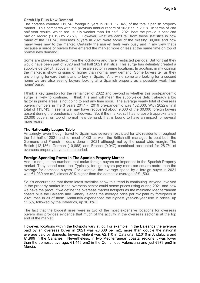#### **Catch Up Plus New Demand**

The notaries counted 111,743 foreign buyers in 2021, 17.04% of the total Spanish property market. This compares with the previous annual record of 103,677 in 2018. In terms of 2nd half year results, which are usually weaker than 1st half, 2021 beat the previous best 2nd half on record (2019) by 26.5%. However, what we can't tell from these statistics is how many of the 111,743 overseas buyers in 2021 were some of the missing 30,000 and how many were new to the market. Certainly the market feels very busy and in my view that's because a surge of buyers have entered the market more or less at the same time on top of normal new demand.

Some are playing catch-up from the lockdown and travel restricted periods. But for that they would have been part of 2020 and 1st half 2021 statistics. This surge has definitely created a supply-side deficit, above all in the resale sector in prime locations. In addition, in my opinion the market is showing signs of higher than normal new demand. Some buyers tell us they are bringing forward their plans to buy in Spain. And while some are looking for a second home we are also seeing buyers looking at a Spanish property as a possible 'work from home' base.

I think a key question for the remainder of 2022 and beyond is whether this post-pandemic surge is likely to continue. I think it is and will mean the supply-side deficit already a big factor in prime areas is not going to end any time soon. The average yearly total of overseas buyers numbers in the 3 years 2017 - 2019 pre-pandemic was 102,000. With 2022's final total of 111,743, it seems we may have recovered about 9,000 of the 30,000 foreign buyers absent during the pandemic's lockdowns. So, if the market still has to absorb approximately 20,000 buyers, on top of normal new demand, that is bound to have an impact for several more years.

# **The Nationality League Table**

Amazingly, even though travel to Spain was severely restricted for UK residents throughout the 1st half of 2021 and for most of Q3 as well, the British still managed to beat both the Germans and French in deals done in 2021 although not by the usual wide margin. The British (12,186), German (10,868) and French (9,047) combined accounted for 28.7% of overseas property buyers in the period.

#### **Foreign Spending Power in The Spanish Property Market**

And it's not just the numbers that make foreign buyers so important to the Spanish Property market. They spend more too. Typically, foreign buyers pay more per square metre than the average for domestic buyers. For example, the average spend by a foreign buyer in 2021 was €1,939 per m2, almost 30% higher than the domestic average of €1,503.

So it's encouraging that these latest statistics show this trend is continuing. Anyone involved in the property market in the overseas sector could sense prices rising during 2021 and now we have the proof. If we define the overseas market hotspots as the mainland Mediterranean coasts plus the Balearic and Canary Islands the average price per m2 paid by foreigners in 2021 rose in all of them. Andalucía experienced the highest year-on-year rise in prices, up 11.5%, followed by the Balearics, up 10.1%.

The fact that the biggest rises were in two of the most expensive locations for overseas buyers also provides evidence that much of the activity in the overseas sector is at the top end of the market.

However, locations within the hotspots vary at lot. For example, in the Balearics the average paid by an overseas buyer in 2021 was €3,688 per m2, more than double the national average paid by domestic buyers, while it was €2,110 in Cataluña, €2,010 in Andalucía and €1,999 in the Canaries. Nevertheless, in two Mediterranean coastal regions it was lower than the domestic average; €1,446 pm2 in the Comunidad Valenciana and just €973 pm2 in Murcia.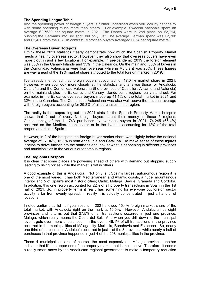# **The Spending League Table**

And the spending power of foreign buyers is further underlined when you look by nationality with some spending much more than others. For example, Swedish nationals spent an average €2,7680 per square metre in 2021. The Danes were in 2nd place on €2,714, pushing the Germans into 3rd spot, but only just. The average German spend was €2,708 and  $\epsilon$ 2,430 from the US. In contrast, Moroccan buyers averaged  $\epsilon$ 654 per square metre.

#### **The Overseas Buyer Hotspots**

I think these 2021 statistics clearly demonstrate how much the Spanish Property Market needs a healthy overseas sector. However, they also show that overseas buyers have even more clout in just a few locations. For example, in pre-pandemic 2019 the foreign element was 30% in the Canary Islands and 35% in the Balearics. On the mainland, 30% of buyers in the Comunidad Valenciana were from overseas while in Murcia it was 25%. These figures are way ahead of the 19% market share attributed to the total foreign market in 2019.

I've already mentioned that foreign buyers accounted for 17.04% market share in 2021. However, when you look more closely at the statistics and analyse those for Andalucía, Cataluña and the Comunidad Valenciana (the provinces of Castellón, Alicante and Valencia) on the mainland, plus the Balearics and Canary Islands some regions really stand out. For example, in the Balearics overseas buyers made up 41.1% of the total market in 2021 and 32% in the Canaries. The Comunidad Valenciana was also well above the national average with foreign buyers accounting for 29.3% of all purchases in the region.

The reality is that separating out the 2021 stats for the Spanish Property Market hotspots shows that 2 out of every 3 foreign buyers spent their money in these 5 regions. Consequently, of the 111,743 purchases by overseas buyers in 2021, 74,245 (66.4%) occurred on the Mediterranean coasts or in the Islands, accounting for 12% of the total property market in Spain.

However, in 2 of the hotspots the foreign buyer market share was slightly below the national average of 17.04%, 16.8% in.both Andalucía and Cataluña. To make sense of these figures it helps to delve further into the statistics and look at what is happening in different provinces and municipalities in the various autonomous regions.

#### **The Regional Hotspots**

It is clear that some places are powering ahead of others with demand out stripping supply leading to rising prices while the market is flat is others.

A good example of this is Andalucía. Not only is it Spain's largest autonomous region it is one of the most varied. It has both Mediterranean and Atlantic coasts, a huge, mountainous interior and 5 of Spain's most historic cities; Cádiz, Málaga, Seville, Granada and Córdoba. In addition, this one region accounted for 22% of all property transactions in Spain in the 1st half of 2021. So, in property terms it really has something for everyone but foreign sector activity is far from evenly spread. In reality it is actually concentrated in just a handful of locations.

I noted earlier that 1st half year results in 2021 showed 15.4% foreign market share of the total market, with Andalucía right on the mark at 15.5%. However, Andalucía has eight provinces and it turns out that 27.5% of all transactions occurred in just one province, Málaga, which really means the Costa del Sol. And when you drill down to the municipal level it gets even more unbalanced. In the event, 46.1% of all transactions in the province occurred in the municipalities of Málaga city, Marbella, Benahavís and Estepona. So, nearly one third of purchases in Andalucía occurred in just 1 of the 8 provinces while nearly a half of purchases in that province happened in just 4 of the 208 municipalities in the province.

These 4 municipalities are, of course, the most expensive in Málaga province, another indicator that it's the upper end of the property market that is most active. Therefore, it seems a really smart move by the Andalucían regional government to make a temporary reduction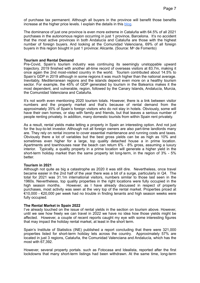of purchase tax permanent. Although all buyers in the province will benefit those benefits increase at the higher price levels. I explain the details in this [blog.](https://links.thepropertyfinders.com/3qYdLBY)

The dominance of just one province is even more extreme in Cataluña with 64.5% of all 2021 purchases in the autonomous region occurring in just 1 province, Barcelona. It's no accident that the most active provinces in both Andalucía and Cataluña are those with the highest number of foreign buyers. And looking at the Comunidad Valenciana, 69% of all foreign buyers in this region bought in just 1 province: Alicante. (Source: M° de Fomento)

#### **Tourism and Rental Demand**

Pre-Covid, Spain's tourism industry was continuing its seemingly unstoppable upward trajectory. 2019 finished with another all-time record of overseas visitors at 83.7m, making it once again the 2nd most-visited country in the world. Tourism contributed about 14.5% to Spain's GDP in 2019 although in some regions it was much higher than the national average. Inevitably, Mediterranean regions and the islands depend even more on a healthy tourism sector. For example, the 45% of GDP generated by tourism in the Balearics makes it the most dependent, and vulnerable, region, followed by the Canary Islands, Andalucía, Murcia, the Comunidad Valenciana and Cataluña.

It's not worth even mentioning 2020 tourism totals. However, there is a link between visitor numbers and the property market and that's because of rental demand from the approximately 35% of Spain's foreign visitors who do not stay in hotels. Obviously, some will have their own homes, or stay with family and friends, but that leaves a serious number of people renting privately. In addition, many domestic tourists from within Spain rent privately.

As a result, rental yields make letting a property in Spain an interesting option. And not just for the buy-to-let investor. Although not all foreign owners are also part-time landlords many are. They rely on rental income to cover essential maintenance and running costs and taxes. Obviously there a lot of variables but the best gross yields can be as high as 10% and sometimes even higher for a large, top quality detached house a in prime location. Apartments and townhouses near the beach can return 6% - 8% gross, assuming a luxury interior. Typically, a quality property in a prime location will generate a higher yield in the short-term holiday market than the same property let long-term, in the region of 3% - 5% better.

#### **Tourism in 2021**

Although not quite as big a catastrophe as 2020 it was still dire. Nevertheless, once travel became easier in the 2nd half of the year there was a bit of a surge, particularly in Q4. The total for 2021 was 31.1m international visitors, numbers similar to those last seen in the 1960s. Nevertheless, top quality properties in the right locations were fully occupied in the high season months. However, as I have already discussed in respect of property purchases, most activity was seen at the very top of the rental market. Properties priced at €10,000 - €20,000 per week had no trouble in finding tenants and high season weeks were fully occupied.

#### **The Rental Market in Spain 2022**

I've already touched on the issue of rental yields in the section on tourism above. However, until we see how freely we can travel in 2022 we have no idea how those yields might be affected. However, a couple of recent reports caught my eye with some interesting figures that may impact the holiday rental market, at least in the short term.

Spain's Institute of Statistics (INE) published a report concluding that there were 321,000 properties listed for short-term holiday lets across the country. Approximately 57% are located in just 3 regions, Cataluña, the Comunidad Valenciana and Andalucía, which has the most with 67,392.

However, several property portals. such as Fotocasa and Idealista, reported after the first lockdowns that many short-term listings had been withdrawn. At the same time, long-term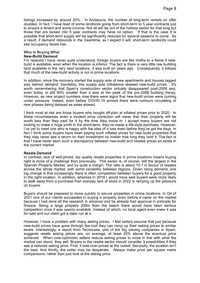listings increased by around 20%. In Andalucía, the number of long-term rentals on offer doubled. In fact, I have read of some landlords going from short-term to 5 year contracts just to ensure a tenant and some income. Not all will be out of the holiday sector for that long but those that are locked into 5 year contracts may have no option. If that is the case it is possible that short-term supply will be significantly reduced for several seasons to come. As a result, if demand rebounds in the meantime, as I expect it will, short-term landlords could see occupancy levels rise.

#### **Who Is Buying What New-Build Demand**

For reasons I have never quite understood, foreign buyers are like moths to a flame if newbuild is available, even when the location is inferior. The fact is there is very little raw building land available in the very best locations, it was built on years ago. Consequently, it follows that much of the new-build activity is not in prime locations.

In addition, since the recovery started the supply side of new apartments and houses lagged way behind demand. Inevitably, this supply side imbalance skewed new-build prices. It's worth remembering that Spain's construction sector virtually disappeared post-2008 and, even today, is still 90% smaller than it was at the peak of the pre-2008 building frenzy. However, as new project numbers rose there were signs that new-build prices were coming under pressure. Indeed, even before COVID-19 arrived there were rumours circulating of new phases being delayed as sales slowed.

I think most at risk are those buyers who bought off-plan at inflated prices prior to 2020. In these circumstances even a modest price correction will mean that their property will be worth less than they paid for it by the time they move in. I accept many buyers are not looking to make a huge profit in the short-term, they've made a life-style purchase. However, I've yet to meet one who is happy with the idea of a loss even before they've got the keys. In fact I think some buyers have been paying such inflated prices for new build properties that they may never see a return on their investment no matter how long they hold it. The fact is that I have never seen such a discrepancy between new-build and resales prices as exists in the current market.

#### **Resale Demand**

In contrast, lack of well-priced, top quality resale properties in prime locations means buying right is more of a challenge than previously. This sector is, of course, still the largest in the Spanish Property Market, and by quite a margin. The ratio is about 10:1 in favour of resales across the whole market, with some variability between regions. Given rising demand, one big change is that increasingly there is often competition between buyers for a good property in the right location. In addition, whereas in 2019 I would have said buyers were more likely to walk away from a purchase than overpay lack of stock in 2022 is ramping up the pressure on buyers.

Buyers should be prepared to move quickly to secure properties in prime locations. In Q4 of 2021 one of our clients succeeded in buying a property even before it came on the market because I had done all the research in advance and he already had approval in principle for finance. Being a large property 200m from the beach there would have been serious competition once it was openly available. Instead of which, no local agent even knew it was for sale and our client got a clear run at it.

However, I have a problem with many asking prices. I feel sellers assume that just because new-build prices have gone through the roof they can ramp up their asking prices to similar levels. Interestingly, a report from Tecnocasa, one of the big valuing companies in Spain, suggests resale asking prices are, on average, at least 20% above the eventual price achieved. When over-optimistic sellers reduce asking prices to more in line with what the market can stand, they sell. Buyers in the resale sector should consider 3 possibilities if they see a reduced asking price. First, it was over-priced at the outset. Secondly, the location isn't the best. And thirdly, the seller may be desperate. Always make price per square metre comparisons, rather than just look at the asking price.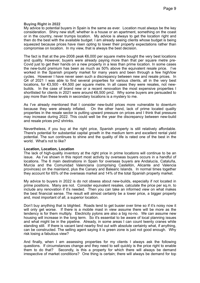# **Buying Right in 2022**

My advice to potential buyers in Spain is the same as ever. Location must always be the key consideration. Shiny new stuff, whether is a house or an apartment, something on the coast or in the country, never trumps location. My advice is always to get the location right and then do the best with the available budget. I am already seeing clients whose budget is being squeezed because prices have risen opting to lower their property expectations rather than compromise on location. In my view, that is always the best decision.

The fact is that at the pre-2008 peak  $\epsilon$ 6,000 per square metre bought the very best locations and quality. However, buyers were already paying more than that per square metre pre-Covid just to get their hands on a new property in a less than prime location. In some cases the new-build premium has been as much as 50% above the equivalent resale price. I've worked in the Spanish property market for many years and been through a few high/low cycles. However I have never seen such a discrepancy between new and resale prices. In Q4 of 2021 I was able to find several properties for various clients, all in the very best locations, for €3,500 - €4,500 per square metre. In all cases they were resales, not newbuilds. In the case of brand new or a recent renovation the most expensive properties I shortlisted for clients in 2021 were around €6,500 pm2. Why some buyers are persuaded to pay more than these levels in secondary locations is a mystery to me.

As I've already mentioned that I consider new-build prices more vulnerable to downturn because they were already inflated. On the other hand, lack of prime located quality properties in the resale sector is putting upward pressure on prices and I think that pressure may increase during 2022. This could well be the year the discrepancy between new-build and resale prices pm2 shrinks.

Nevertheless, if you buy at the right price, Spanish property is still relatively affordable. There's potential for substantial capital growth in the medium term and excellent rental yield potential. The sun continues to shine and the quality of life is rated one of the best in the world. What's not to like?

#### **Location, Location, Location**

The lack of high-quality inventory at the right price in prime locations will continue to be an issue. As I've shown in this report most activity by overseas buyers occurs in a handful of locations. The 6 main destinations in Spain for overseas buyers are Andalucía, Cataluña, Murcia and the Comunidad Valenciana (comprising Castellón, Alicante and Valencia provinces) on the mainland, plus the Canary and Balearic Islands. In normal times together they account for 65% of the overseas market and 14% of the total Spanish property market.

My advice to buyers in 2022 is do not obsess about new-builds, especially if not located in prime positions. Many are not. Consider equivalent resales, calculate the price per sq.m. to include any renovation if it's needed. Then you can take an informed view on what makes the best financial sense. The result will almost certainly be a lower price, a bigger property and, most important of all, a superior location.

Don't buy anything that is blighted. Roads tend to get busier over time so if it's noisy now it will only get worse. If there is a mobile mast in view assume there will be more as the tendency is for them multiply. Electricity pylons are also a big no-no. We can assume new housing will increase in the long term. So it's essential to be aware of local planning issues and what might be in the pipeline. Already, in some areas I can count twenty cranes while standing still. If there is vacant land nearby find out with absolute certainty what, if anything, can be constructed. The selling agent saying it is green zone is just not good enough. Why risk losing a fabulous view?

And finally, when I am assessing properties for my clients I always ask the following questions. If circumstances change and they need to sell quickly is the price right to enable them to do that? Secondly, is this a property for which there will always be demand irrespective of market conditions? One thing is certain; there will always be demand for top